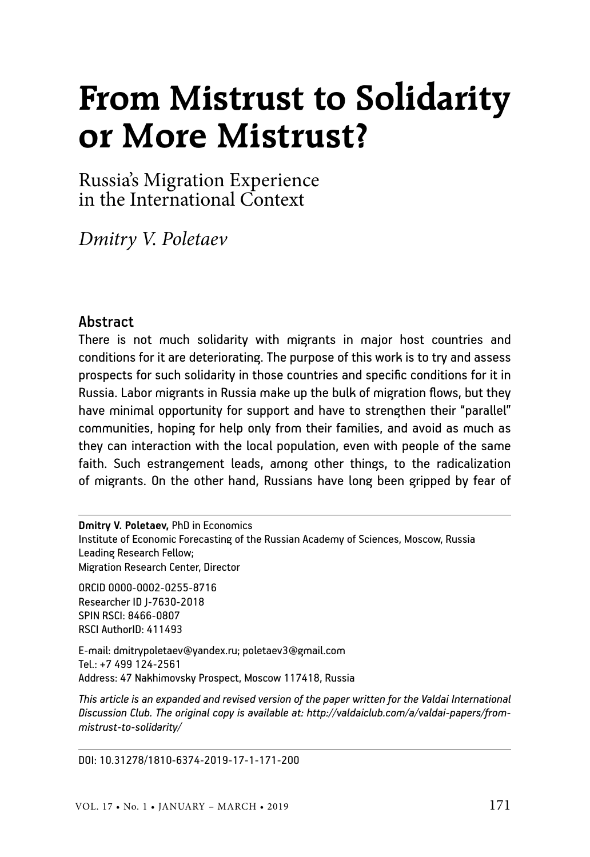# **From Mistrust to Solidarity or More Mistrust?**

Russia's Migration Experience in the International Context

*Dmitry V. Poletaev*

#### **Abstract**

There is not much solidarity with migrants in major host countries and conditions for it are deteriorating. The purpose of this work is to try and assess prospects for such solidarity in those countries and specific conditions for it in Russia. Labor migrants in Russia make up the bulk of migration flows, but they have minimal opportunity for support and have to strengthen their "parallel" communities, hoping for help only from their families, and avoid as much as they can interaction with the local population, even with people of the same faith. Such estrangement leads, among other things, to the radicalization of migrants. On the other hand, Russians have long been gripped by fear of

**Dmitry V. Poletaev,** PhD in Economics Institute of Economic Forecasting of the Russian Academy of Sciences, Moscow, Russia Leading Research Fellow; Migration Research Center, Director

ORCID 0000-0002-0255-8716 Researcher ID J-7630-2018 SPIN RSCI: 8466-0807 RSCI AuthorID: 411493

E-mail: dmitrypoletaev@yandex.ru; poletaev3@gmail.com Tel.: +7 499 124-2561 Address: 47 Nakhimovsky Prospect, Moscow 117418, Russia

*This article is an expanded and revised version of the paper written for the Valdai International Discussion Club. The original copy is available at: http://valdaiclub.com/a/valdai-papers/frommistrust-to-solidarity/*

DOI: 10.31278/1810-6374-2019-17-1-171-200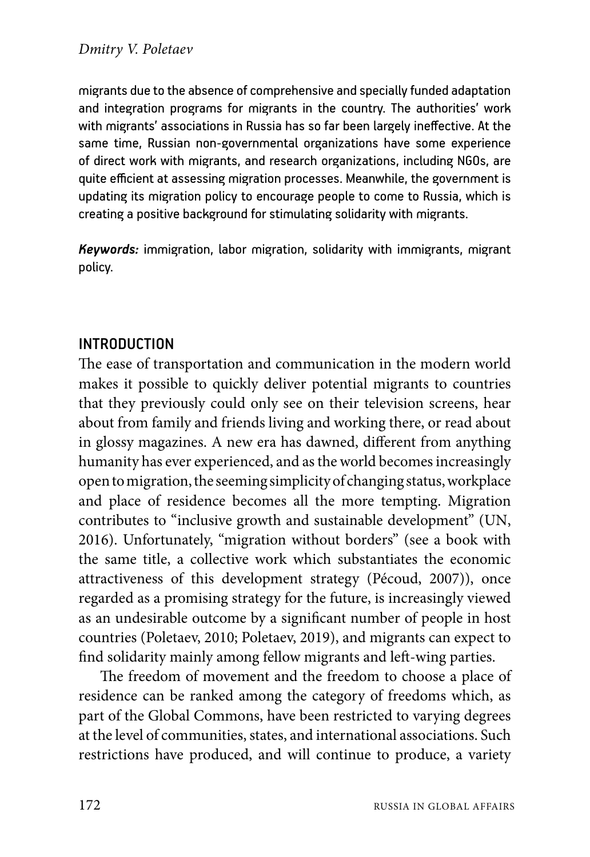migrants due to the absence of comprehensive and specially funded adaptation and integration programs for migrants in the country. The authorities' work with migrants' associations in Russia has so far been largely ineffective. At the same time, Russian non-governmental organizations have some experience of direct work with migrants, and research organizations, including NGOs, are quite efficient at assessing migration processes. Meanwhile, the government is updating its migration policy to encourage people to come to Russia, which is creating a positive background for stimulating solidarity with migrants.

*Keywords:* immigration, labor migration, solidarity with immigrants, migrant policy.

# Introduction

The ease of transportation and communication in the modern world makes it possible to quickly deliver potential migrants to countries that they previously could only see on their television screens, hear about from family and friends living and working there, or read about in glossy magazines. A new era has dawned, different from anything humanity has ever experienced, and as the world becomes increasingly open to migration, the seeming simplicity of changing status, workplace and place of residence becomes all the more tempting. Migration contributes to "inclusive growth and sustainable development" (UN, 2016). Unfortunately, "migration without borders" (see a book with the same title, a collective work which substantiates the economic attractiveness of this development strategy (Pécoud, 2007)), once regarded as a promising strategy for the future, is increasingly viewed as an undesirable outcome by a significant number of people in host countries (Poletaev, 2010; Poletaev, 2019), and migrants can expect to find solidarity mainly among fellow migrants and left-wing parties.

The freedom of movement and the freedom to choose a place of residence can be ranked among the category of freedoms which, as part of the Global Commons, have been restricted to varying degrees at the level of communities, states, and international associations. Such restrictions have produced, and will continue to produce, a variety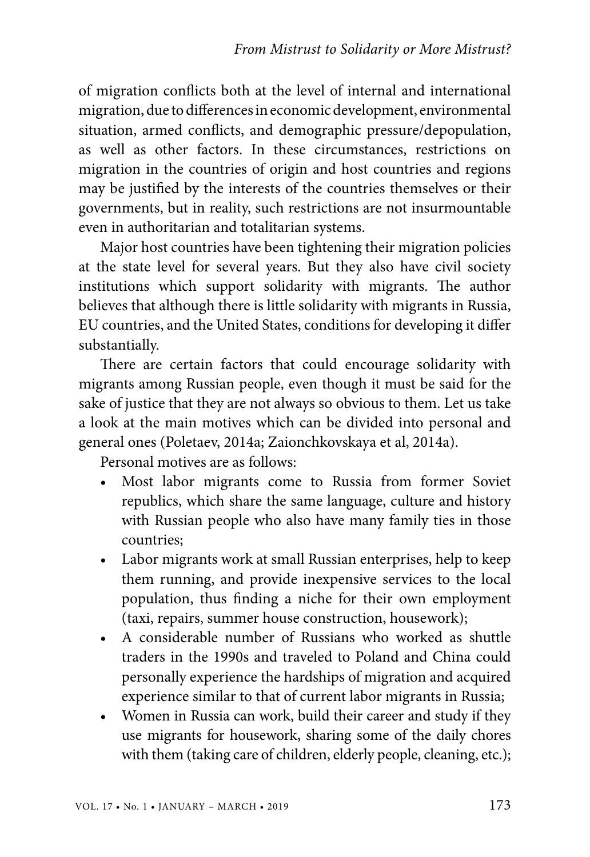of migration conflicts both at the level of internal and international migration, due to differences in economic development, environmental situation, armed conflicts, and demographic pressure/depopulation, as well as other factors. In these circumstances, restrictions on migration in the countries of origin and host countries and regions may be justified by the interests of the countries themselves or their governments, but in reality, such restrictions are not insurmountable even in authoritarian and totalitarian systems.

Major host countries have been tightening their migration policies at the state level for several years. But they also have civil society institutions which support solidarity with migrants. The author believes that although there is little solidarity with migrants in Russia, EU countries, and the United States, conditions for developing it differ substantially.

There are certain factors that could encourage solidarity with migrants among Russian people, even though it must be said for the sake of justice that they are not always so obvious to them. Let us take a look at the main motives which can be divided into personal and general ones (Poletaev, 2014a; Zaionchkovskaya et al, 2014a).

Personal motives are as follows:

- Most labor migrants come to Russia from former Soviet republics, which share the same language, culture and history with Russian people who also have many family ties in those countries;
- Labor migrants work at small Russian enterprises, help to keep them running, and provide inexpensive services to the local population, thus finding a niche for their own employment (taxi, repairs, summer house construction, housework);
- A considerable number of Russians who worked as shuttle traders in the 1990s and traveled to Poland and China could personally experience the hardships of migration and acquired experience similar to that of current labor migrants in Russia;
- Women in Russia can work, build their career and study if they use migrants for housework, sharing some of the daily chores with them (taking care of children, elderly people, cleaning, etc.);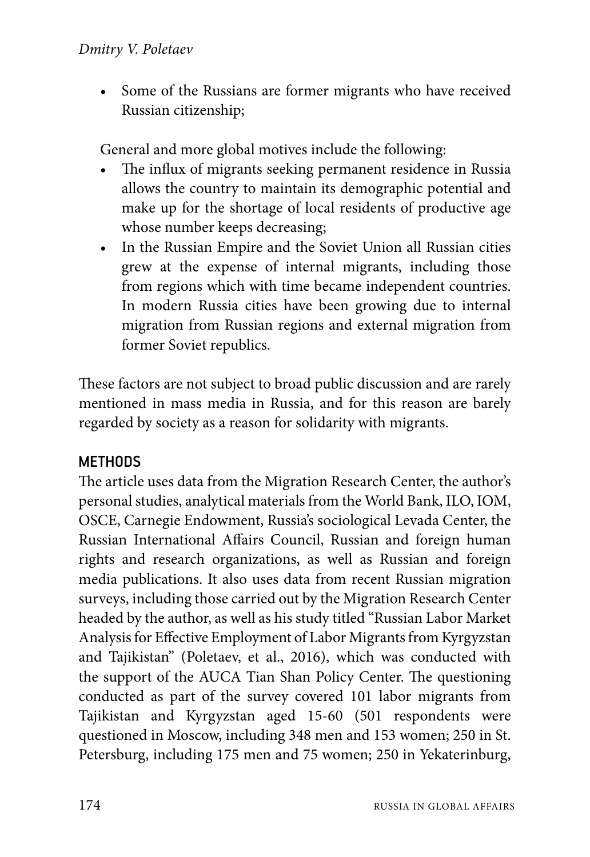• Some of the Russians are former migrants who have received Russian citizenship;

General and more global motives include the following:

- The influx of migrants seeking permanent residence in Russia allows the country to maintain its demographic potential and make up for the shortage of local residents of productive age whose number keeps decreasing;
- In the Russian Empire and the Soviet Union all Russian cities grew at the expense of internal migrants, including those from regions which with time became independent countries. In modern Russia cities have been growing due to internal migration from Russian regions and external migration from former Soviet republics.

These factors are not subject to broad public discussion and are rarely mentioned in mass media in Russia, and for this reason are barely regarded by society as a reason for solidarity with migrants.

# Methods

The article uses data from the Migration Research Center, the author's personal studies, analytical materials from the World Bank, ILO, IOM, OSCE, Carnegie Endowment, Russia's sociological Levada Center, the Russian International Affairs Council, Russian and foreign human rights and research organizations, as well as Russian and foreign media publications. It also uses data from recent Russian migration surveys, including those carried out by the Migration Research Center headed by the author, as well as his study titled "Russian Labor Market Analysis for Effective Employment of Labor Migrants from Kyrgyzstan and Tajikistan" (Poletaev, et al., 2016), which was conducted with the support of the AUCA Tian Shan Policy Center. The questioning conducted as part of the survey covered 101 labor migrants from Tajikistan and Kyrgyzstan aged 15-60 (501 respondents were questioned in Moscow, including 348 men and 153 women; 250 in St. Petersburg, including 175 men and 75 women; 250 in Yekaterinburg,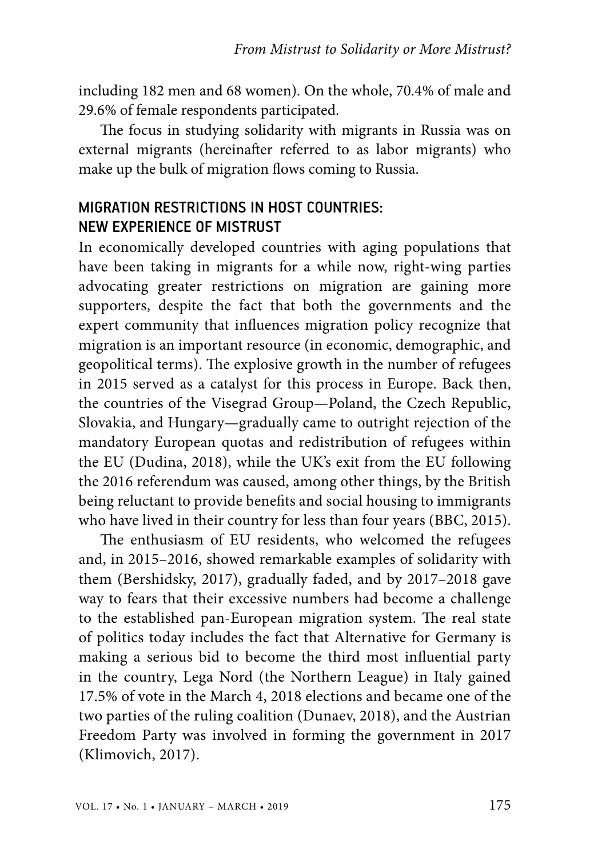including 182 men and 68 women). On the whole, 70.4% of male and 29.6% of female respondents participated.

The focus in studying solidarity with migrants in Russia was on external migrants (hereinafter referred to as labor migrants) who make up the bulk of migration flows coming to Russia.

# MIGRATION RESTRICTIONS IN HOST COUNTRIES: NEW EXPERIENCE OF MISTRUST

In economically developed countries with aging populations that have been taking in migrants for a while now, right-wing parties advocating greater restrictions on migration are gaining more supporters, despite the fact that both the governments and the expert community that influences migration policy recognize that migration is an important resource (in economic, demographic, and geopolitical terms). The explosive growth in the number of refugees in 2015 served as a catalyst for this process in Europe. Back then, the countries of the Visegrad Group—Poland, the Czech Republic, Slovakia, and Hungary—gradually came to outright rejection of the mandatory European quotas and redistribution of refugees within the EU (Dudina, 2018), while the UK's exit from the EU following the 2016 referendum was caused, among other things, by the British being reluctant to provide benefits and social housing to immigrants who have lived in their country for less than four years (BBC, 2015).

The enthusiasm of EU residents, who welcomed the refugees and, in 2015–2016, showed remarkable examples of solidarity with them (Bershidsky, 2017), gradually faded, and by 2017–2018 gave way to fears that their excessive numbers had become a challenge to the established pan-European migration system. The real state of politics today includes the fact that Alternative for Germany is making a serious bid to become the third most influential party in the country, Lega Nord (the Northern League) in Italy gained 17.5% of vote in the March 4, 2018 elections and became one of the two parties of the ruling coalition (Dunaev, 2018), and the Austrian Freedom Party was involved in forming the government in 2017 (Klimovich, 2017).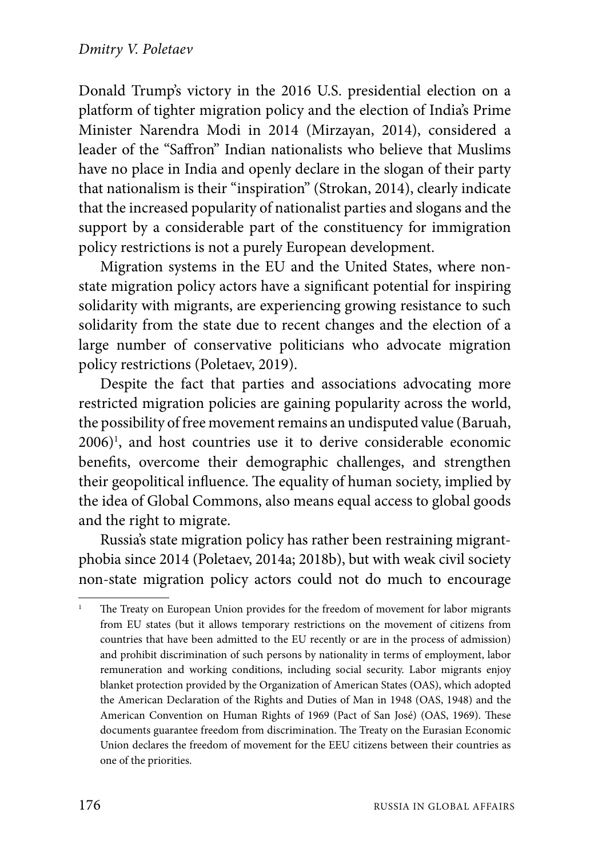Donald Trump's victory in the 2016 U.S. presidential election on a platform of tighter migration policy and the election of India's Prime Minister Narendra Modi in 2014 (Mirzayan, 2014), considered a leader of the "Saffron" Indian nationalists who believe that Muslims have no place in India and openly declare in the slogan of their party that nationalism is their "inspiration" (Strokan, 2014), clearly indicate that the increased popularity of nationalist parties and slogans and the support by a considerable part of the constituency for immigration policy restrictions is not a purely European development.

Migration systems in the EU and the United States, where nonstate migration policy actors have a significant potential for inspiring solidarity with migrants, are experiencing growing resistance to such solidarity from the state due to recent changes and the election of a large number of conservative politicians who advocate migration policy restrictions (Poletaev, 2019).

Despite the fact that parties and associations advocating more restricted migration policies are gaining popularity across the world, the possibility of free movement remains an undisputed value (Baruah, 2006)<sup>1</sup> , and host countries use it to derive considerable economic benefits, overcome their demographic challenges, and strengthen their geopolitical influence. The equality of human society, implied by the idea of Global Commons, also means equal access to global goods and the right to migrate.

Russia's state migration policy has rather been restraining migrantphobia since 2014 (Poletaev, 2014a; 2018b), but with weak civil society non-state migration policy actors could not do much to encourage

<sup>1</sup> The Treaty on European Union provides for the freedom of movement for labor migrants from EU states (but it allows temporary restrictions on the movement of citizens from countries that have been admitted to the EU recently or are in the process of admission) and prohibit discrimination of such persons by nationality in terms of employment, labor remuneration and working conditions, including social security. Labor migrants enjoy blanket protection provided by the Organization of American States (OAS), which adopted the American Declaration of the Rights and Duties of Man in 1948 (OAS, 1948) and the American Convention on Human Rights of 1969 (Pact of San José) (OAS, 1969). These documents guarantee freedom from discrimination. The Treaty on the Eurasian Economic Union declares the freedom of movement for the EEU citizens between their countries as one of the priorities.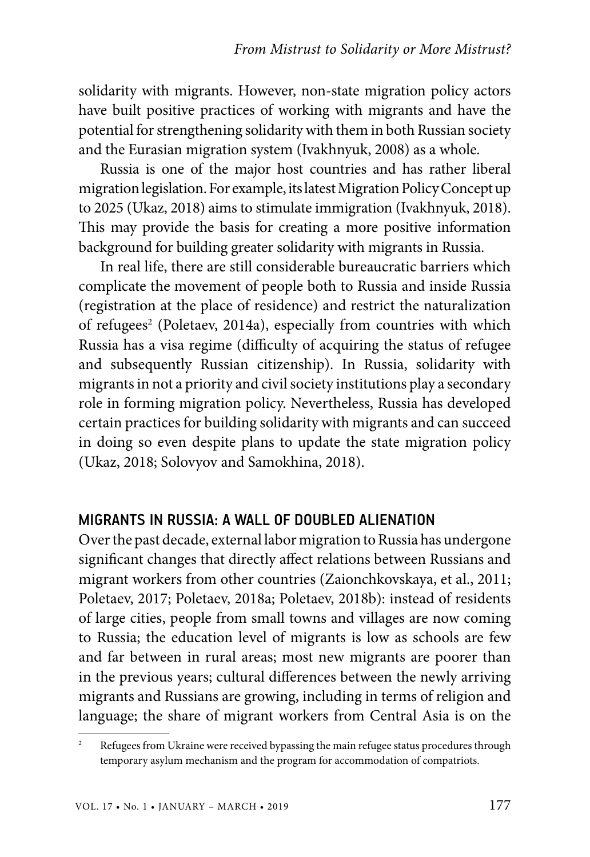solidarity with migrants. However, non-state migration policy actors have built positive practices of working with migrants and have the potential for strengthening solidarity with them in both Russian society and the Eurasian migration system (Ivakhnyuk, 2008) as a whole.

Russia is one of the major host countries and has rather liberal migration legislation. For example, its latest Migration Policy Concept up to 2025 (Ukaz, 2018) aims to stimulate immigration (Ivakhnyuk, 2018). This may provide the basis for creating a more positive information background for building greater solidarity with migrants in Russia.

In real life, there are still considerable bureaucratic barriers which complicate the movement of people both to Russia and inside Russia (registration at the place of residence) and restrict the naturalization of refugees<sup>2</sup> (Poletaev, 2014a), especially from countries with which Russia has a visa regime (difficulty of acquiring the status of refugee and subsequently Russian citizenship). In Russia, solidarity with migrants in not a priority and civil society institutions play a secondary role in forming migration policy. Nevertheless, Russia has developed certain practices for building solidarity with migrants and can succeed in doing so even despite plans to update the state migration policy (Ukaz, 2018; Solovyov and Samokhina, 2018).

#### MIGRANTS IN RUSSIA: A WALL OF DOUBLED ALIENATION

Over the past decade, external labor migration to Russia has undergone significant changes that directly affect relations between Russians and migrant workers from other countries (Zaionchkovskaya, et al., 2011; Poletaev, 2017; Poletaev, 2018a; Poletaev, 2018b): instead of residents of large cities, people from small towns and villages are now coming to Russia; the education level of migrants is low as schools are few and far between in rural areas; most new migrants are poorer than in the previous years; cultural differences between the newly arriving migrants and Russians are growing, including in terms of religion and language; the share of migrant workers from Central Asia is on the

Refugees from Ukraine were received bypassing the main refugee status procedures through temporary asylum mechanism and the program for accommodation of compatriots.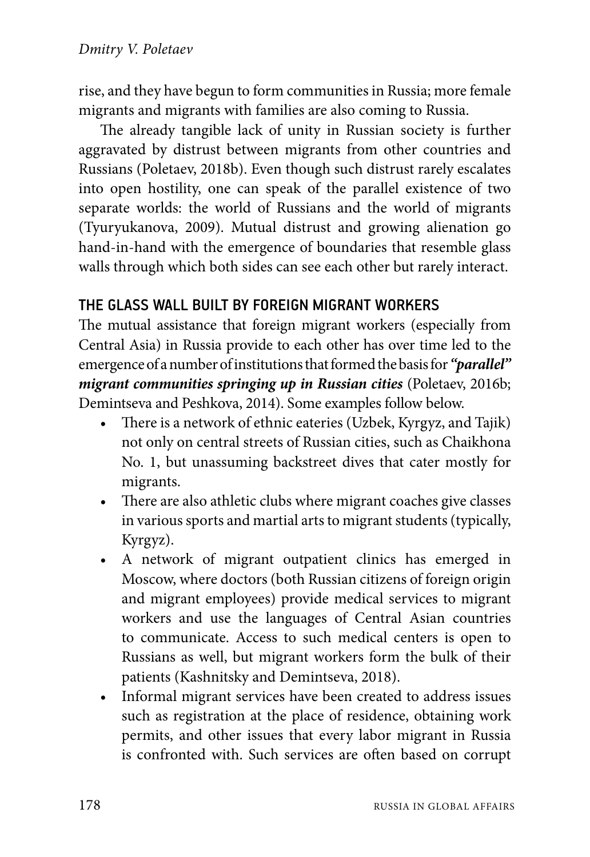rise, and they have begun to form communities in Russia; more female migrants and migrants with families are also coming to Russia.

The already tangible lack of unity in Russian society is further aggravated by distrust between migrants from other countries and Russians (Poletaev, 2018b). Even though such distrust rarely escalates into open hostility, one can speak of the parallel existence of two separate worlds: the world of Russians and the world of migrants (Tyuryukanova, 2009). Mutual distrust and growing alienation go hand-in-hand with the emergence of boundaries that resemble glass walls through which both sides can see each other but rarely interact.

# THE GLASS WALL BUILT BY FOREIGN MIGRANT WORKERS

The mutual assistance that foreign migrant workers (especially from Central Asia) in Russia provide to each other has over time led to the emergence of a number of institutions that formed the basis for *"parallel" migrant communities springing up in Russian cities* (Poletaev, 2016b; Demintseva and Peshkova, 2014). Some examples follow below.

- There is a network of ethnic eateries (Uzbek, Kyrgyz, and Tajik) not only on central streets of Russian cities, such as Chaikhona No. 1, but unassuming backstreet dives that cater mostly for migrants.
- There are also athletic clubs where migrant coaches give classes in various sports and martial arts to migrant students (typically, Kyrgyz).
- A network of migrant outpatient clinics has emerged in Moscow, where doctors (both Russian citizens of foreign origin and migrant employees) provide medical services to migrant workers and use the languages of Central Asian countries to communicate. Access to such medical centers is open to Russians as well, but migrant workers form the bulk of their patients (Kashnitsky and Demintseva, 2018).
- Informal migrant services have been created to address issues such as registration at the place of residence, obtaining work permits, and other issues that every labor migrant in Russia is confronted with. Such services are often based on corrupt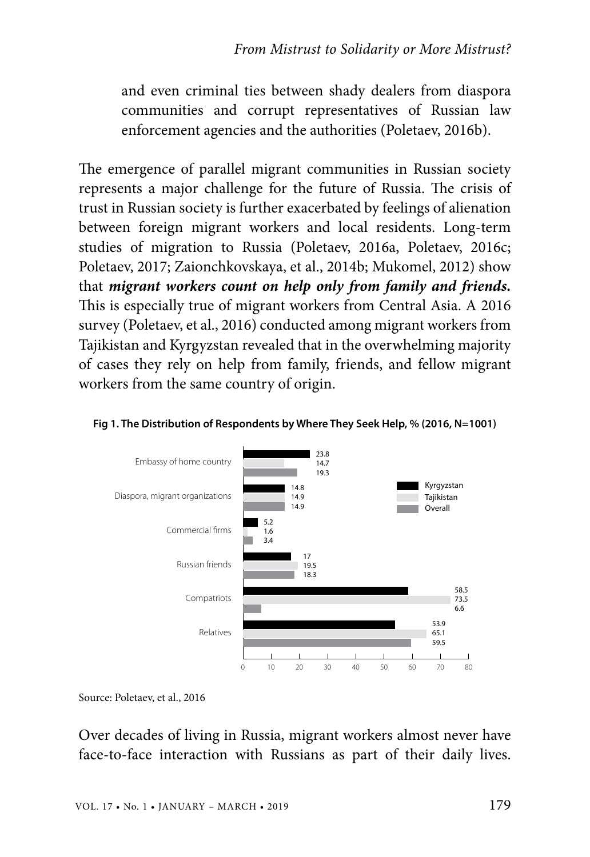and even criminal ties between shady dealers from diaspora communities and corrupt representatives of Russian law enforcement agencies and the authorities (Poletaev, 2016b).

The emergence of parallel migrant communities in Russian society represents a major challenge for the future of Russia. The crisis of trust in Russian society is further exacerbated by feelings of alienation between foreign migrant workers and local residents. Long-term studies of migration to Russia (Poletaev, 2016a, Poletaev, 2016c; Poletaev, 2017; Zaionchkovskaya, et al., 2014b; Mukomel, 2012) show that *migrant workers count on help only from family and friends.* This is especially true of migrant workers from Central Asia. A 2016 survey (Poletaev, et al., 2016) conducted among migrant workers from Tajikistan and Kyrgyzstan revealed that in the overwhelming majority of cases they rely on help from family, friends, and fellow migrant workers from the same country of origin.



#### **Fig 1. The Distribution of Respondents by Where They Seek Help, % (2016, N=1001)**

Source: Poletaev, et al., 2016

Over decades of living in Russia, migrant workers almost never have face-to-face interaction with Russians as part of their daily lives.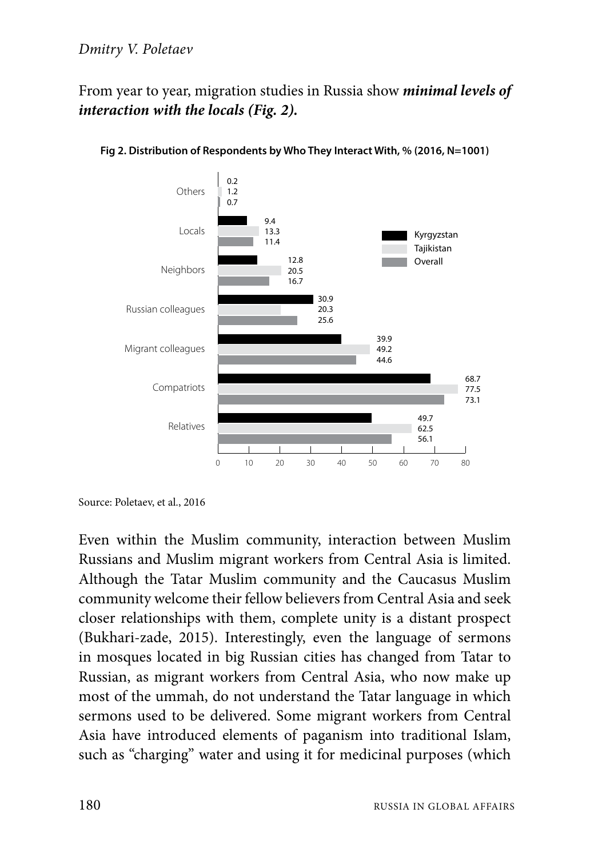From year to year, migration studies in Russia show *minimal levels of interaction with the locals (Fig. 2).*



**Fig 2. Distribution of Respondents by Who They Interact With, % (2016, N=1001)**

Even within the Muslim community, interaction between Muslim Russians and Muslim migrant workers from Central Asia is limited. Although the Tatar Muslim community and the Caucasus Muslim community welcome their fellow believers from Central Asia and seek closer relationships with them, complete unity is a distant prospect (Bukhari-zade, 2015). Interestingly, even the language of sermons in mosques located in big Russian cities has changed from Tatar to Russian, as migrant workers from Central Asia, who now make up most of the ummah, do not understand the Tatar language in which sermons used to be delivered. Some migrant workers from Central Asia have introduced elements of paganism into traditional Islam, such as "charging" water and using it for medicinal purposes (which

Source: Poletaev, et al., 2016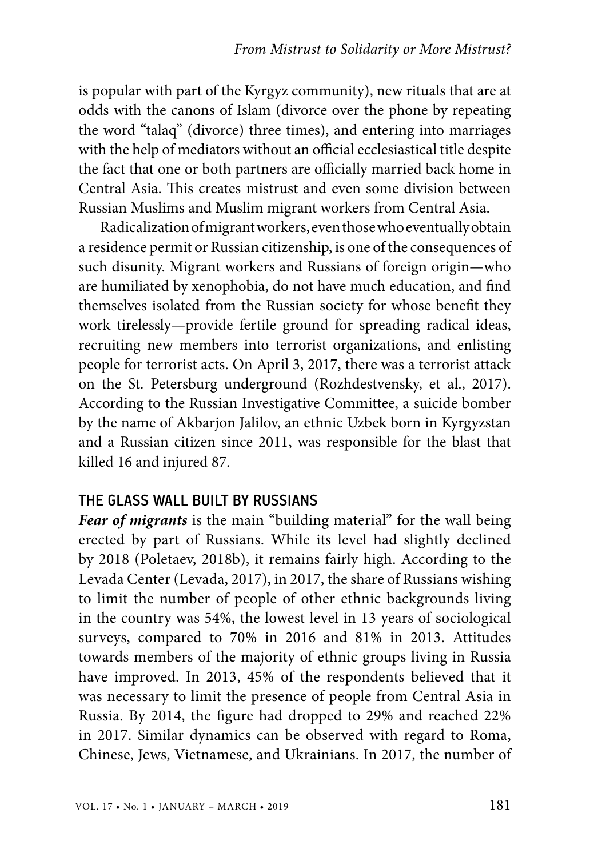is popular with part of the Kyrgyz community), new rituals that are at odds with the canons of Islam (divorce over the phone by repeating the word "talaq" (divorce) three times), and entering into marriages with the help of mediators without an official ecclesiastical title despite the fact that one or both partners are officially married back home in Central Asia. This creates mistrust and even some division between Russian Muslims and Muslim migrant workers from Central Asia.

Radicalization of migrant workers, even those who eventually obtain a residence permit or Russian citizenship, is one of the consequences of such disunity. Migrant workers and Russians of foreign origin—who are humiliated by xenophobia, do not have much education, and find themselves isolated from the Russian society for whose benefit they work tirelessly—provide fertile ground for spreading radical ideas, recruiting new members into terrorist organizations, and enlisting people for terrorist acts. On April 3, 2017, there was a terrorist attack on the St. Petersburg underground (Rozhdestvensky, et al., 2017). According to the Russian Investigative Committee, a suicide bomber by the name of Akbarjon Jalilov, an ethnic Uzbek born in Kyrgyzstan and a Russian citizen since 2011, was responsible for the blast that killed 16 and injured 87.

### THE GLASS WALL BUILT BY RUSSIANS

*Fear of migrants* is the main "building material" for the wall being erected by part of Russians. While its level had slightly declined by 2018 (Poletaev, 2018b), it remains fairly high. According to the Levada Center (Levada, 2017), in 2017, the share of Russians wishing to limit the number of people of other ethnic backgrounds living in the country was 54%, the lowest level in 13 years of sociological surveys, compared to 70% in 2016 and 81% in 2013. Attitudes towards members of the majority of ethnic groups living in Russia have improved. In 2013, 45% of the respondents believed that it was necessary to limit the presence of people from Central Asia in Russia. By 2014, the figure had dropped to 29% and reached 22% in 2017. Similar dynamics can be observed with regard to Roma, Chinese, Jews, Vietnamese, and Ukrainians. In 2017, the number of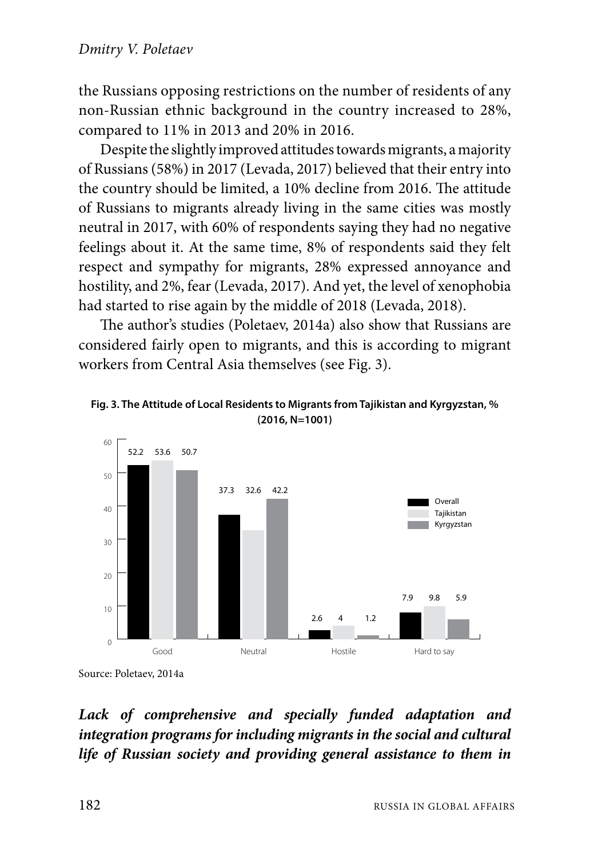the Russians opposing restrictions on the number of residents of any non-Russian ethnic background in the country increased to 28%, compared to 11% in 2013 and 20% in 2016.

Despite the slightly improved attitudes towards migrants, a majority of Russians (58%) in 2017 (Levada, 2017) believed that their entry into the country should be limited, a 10% decline from 2016. The attitude of Russians to migrants already living in the same cities was mostly neutral in 2017, with 60% of respondents saying they had no negative feelings about it. At the same time, 8% of respondents said they felt respect and sympathy for migrants, 28% expressed annoyance and hostility, and 2%, fear (Levada, 2017). And yet, the level of xenophobia had started to rise again by the middle of 2018 (Levada, 2018).

The author's studies (Poletaev, 2014a) also show that Russians are considered fairly open to migrants, and this is according to migrant workers from Central Asia themselves (see Fig. 3).





Source: Poletaev, 2014a

# *Lack of comprehensive and specially funded adaptation and integration programs for including migrants in the social and cultural life of Russian society and providing general assistance to them in*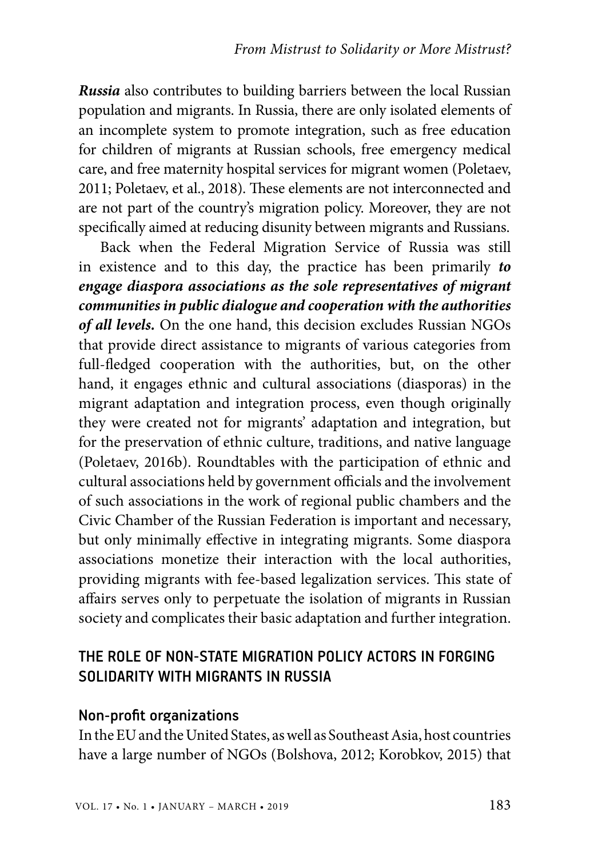*Russia* also contributes to building barriers between the local Russian population and migrants. In Russia, there are only isolated elements of an incomplete system to promote integration, such as free education for children of migrants at Russian schools, free emergency medical care, and free maternity hospital services for migrant women (Poletaev, 2011; Poletaev, et al., 2018). These elements are not interconnected and are not part of the country's migration policy. Moreover, they are not specifically aimed at reducing disunity between migrants and Russians.

Back when the Federal Migration Service of Russia was still in existence and to this day, the practice has been primarily *to engage diaspora associations as the sole representatives of migrant communities in public dialogue and cooperation with the authorities of all levels.* On the one hand, this decision excludes Russian NGOs that provide direct assistance to migrants of various categories from full-fledged cooperation with the authorities, but, on the other hand, it engages ethnic and cultural associations (diasporas) in the migrant adaptation and integration process, even though originally they were created not for migrants' adaptation and integration, but for the preservation of ethnic culture, traditions, and native language (Poletaev, 2016b). Roundtables with the participation of ethnic and cultural associations held by government officials and the involvement of such associations in the work of regional public chambers and the Civic Chamber of the Russian Federation is important and necessary, but only minimally effective in integrating migrants. Some diaspora associations monetize their interaction with the local authorities, providing migrants with fee-based legalization services. This state of affairs serves only to perpetuate the isolation of migrants in Russian society and complicates their basic adaptation and further integration.

# THE ROLE OF non-state migration policy actors IN FORGING SOLIDARITY WITH MIGRANTS IN RUSSIA

#### Non-profit organizations

In the EU and the United States, as well as Southeast Asia, host countries have a large number of NGOs (Bolshova, 2012; Korobkov, 2015) that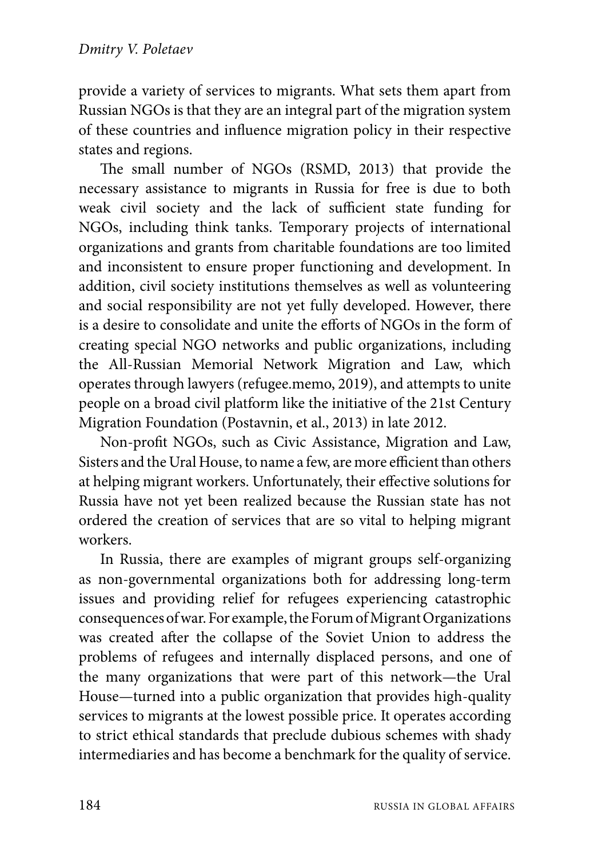provide a variety of services to migrants. What sets them apart from Russian NGOs is that they are an integral part of the migration system of these countries and influence migration policy in their respective states and regions.

The small number of NGOs (RSMD, 2013) that provide the necessary assistance to migrants in Russia for free is due to both weak civil society and the lack of sufficient state funding for NGOs, including think tanks. Temporary projects of international organizations and grants from charitable foundations are too limited and inconsistent to ensure proper functioning and development. In addition, civil society institutions themselves as well as volunteering and social responsibility are not yet fully developed. However, there is a desire to consolidate and unite the efforts of NGOs in the form of creating special NGO networks and public organizations, including the All-Russian Memorial Network Migration and Law, which operates through lawyers (refugee.memo, 2019), and attempts to unite people on a broad civil platform like the initiative of the 21st Century Migration Foundation (Postavnin, et al., 2013) in late 2012.

Non-profit NGOs, such as Civic Assistance, Migration and Law, Sisters and the Ural House, to name a few, are more efficient than others at helping migrant workers. Unfortunately, their effective solutions for Russia have not yet been realized because the Russian state has not ordered the creation of services that are so vital to helping migrant workers.

In Russia, there are examples of migrant groups self-organizing as non-governmental organizations both for addressing long-term issues and providing relief for refugees experiencing catastrophic consequences of war. For example, the Forum of Migrant Organizations was created after the collapse of the Soviet Union to address the problems of refugees and internally displaced persons, and one of the many organizations that were part of this network—the Ural House—turned into a public organization that provides high-quality services to migrants at the lowest possible price. It operates according to strict ethical standards that preclude dubious schemes with shady intermediaries and has become a benchmark for the quality of service.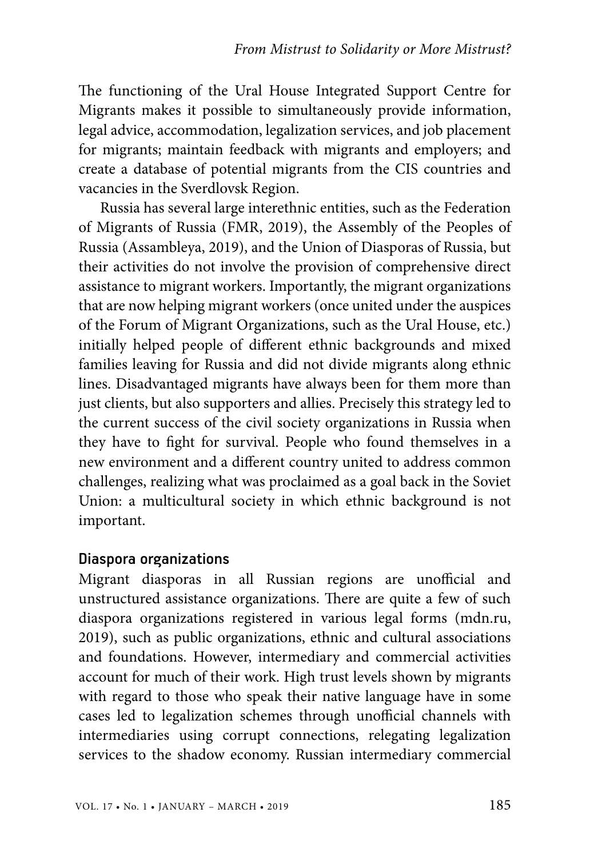The functioning of the Ural House Integrated Support Centre for Migrants makes it possible to simultaneously provide information, legal advice, accommodation, legalization services, and job placement for migrants; maintain feedback with migrants and employers; and create a database of potential migrants from the CIS countries and vacancies in the Sverdlovsk Region.

Russia has several large interethnic entities, such as the Federation of Migrants of Russia (FMR, 2019), the Assembly of the Peoples of Russia (Assambleya, 2019), and the Union of Diasporas of Russia, but their activities do not involve the provision of comprehensive direct assistance to migrant workers. Importantly, the migrant organizations that are now helping migrant workers (once united under the auspices of the Forum of Migrant Organizations, such as the Ural House, etc.) initially helped people of different ethnic backgrounds and mixed families leaving for Russia and did not divide migrants along ethnic lines. Disadvantaged migrants have always been for them more than just clients, but also supporters and allies. Precisely this strategy led to the current success of the civil society organizations in Russia when they have to fight for survival. People who found themselves in a new environment and a different country united to address common challenges, realizing what was proclaimed as a goal back in the Soviet Union: a multicultural society in which ethnic background is not important.

#### Diaspora organizations

Migrant diasporas in all Russian regions are unofficial and unstructured assistance organizations. There are quite a few of such diaspora organizations registered in various legal forms (mdn.ru, 2019), such as public organizations, ethnic and cultural associations and foundations. However, intermediary and commercial activities account for much of their work. High trust levels shown by migrants with regard to those who speak their native language have in some cases led to legalization schemes through unofficial channels with intermediaries using corrupt connections, relegating legalization services to the shadow economy. Russian intermediary commercial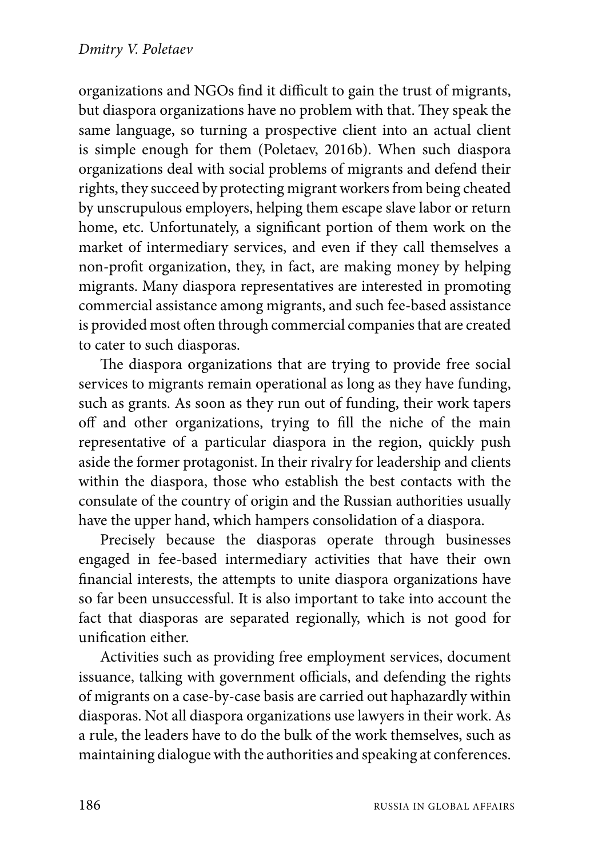organizations and NGOs find it difficult to gain the trust of migrants, but diaspora organizations have no problem with that. They speak the same language, so turning a prospective client into an actual client is simple enough for them (Poletaev, 2016b). When such diaspora organizations deal with social problems of migrants and defend their rights, they succeed by protecting migrant workers from being cheated by unscrupulous employers, helping them escape slave labor or return home, etc. Unfortunately, a significant portion of them work on the market of intermediary services, and even if they call themselves a non-profit organization, they, in fact, are making money by helping migrants. Many diaspora representatives are interested in promoting commercial assistance among migrants, and such fee-based assistance is provided most often through commercial companies that are created to cater to such diasporas.

The diaspora organizations that are trying to provide free social services to migrants remain operational as long as they have funding, such as grants. As soon as they run out of funding, their work tapers off and other organizations, trying to fill the niche of the main representative of a particular diaspora in the region, quickly push aside the former protagonist. In their rivalry for leadership and clients within the diaspora, those who establish the best contacts with the consulate of the country of origin and the Russian authorities usually have the upper hand, which hampers consolidation of a diaspora.

Precisely because the diasporas operate through businesses engaged in fee-based intermediary activities that have their own financial interests, the attempts to unite diaspora organizations have so far been unsuccessful. It is also important to take into account the fact that diasporas are separated regionally, which is not good for unification either.

Activities such as providing free employment services, document issuance, talking with government officials, and defending the rights of migrants on a case-by-case basis are carried out haphazardly within diasporas. Not all diaspora organizations use lawyers in their work. As a rule, the leaders have to do the bulk of the work themselves, such as maintaining dialogue with the authorities and speaking at conferences.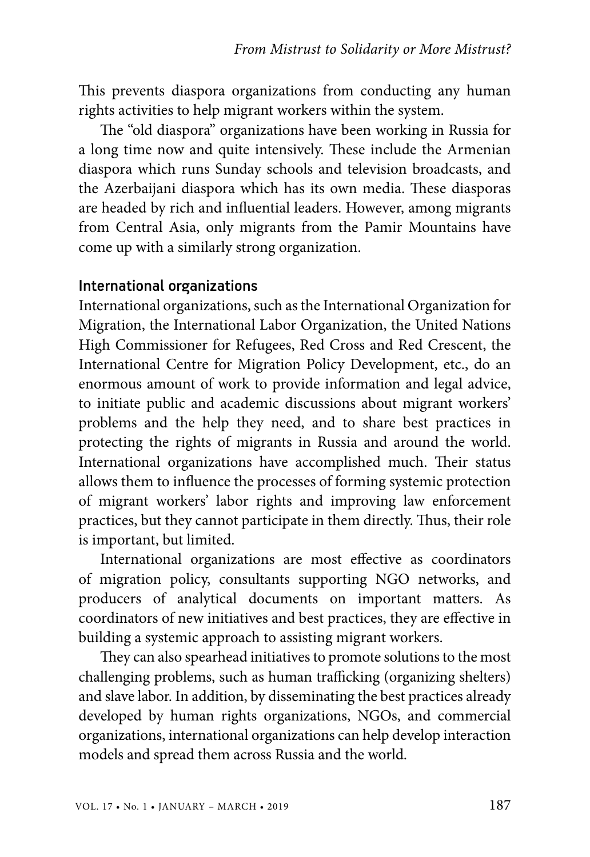This prevents diaspora organizations from conducting any human rights activities to help migrant workers within the system.

The "old diaspora" organizations have been working in Russia for a long time now and quite intensively. These include the Armenian diaspora which runs Sunday schools and television broadcasts, and the Azerbaijani diaspora which has its own media. These diasporas are headed by rich and influential leaders. However, among migrants from Central Asia, only migrants from the Pamir Mountains have come up with a similarly strong organization.

#### International organizations

International organizations, such as the International Organization for Migration, the International Labor Organization, the United Nations High Commissioner for Refugees, Red Cross and Red Crescent, the International Centre for Migration Policy Development, etc., do an enormous amount of work to provide information and legal advice, to initiate public and academic discussions about migrant workers' problems and the help they need, and to share best practices in protecting the rights of migrants in Russia and around the world. International organizations have accomplished much. Their status allows them to influence the processes of forming systemic protection of migrant workers' labor rights and improving law enforcement practices, but they cannot participate in them directly. Thus, their role is important, but limited.

International organizations are most effective as coordinators of migration policy, consultants supporting NGO networks, and producers of analytical documents on important matters. As coordinators of new initiatives and best practices, they are effective in building a systemic approach to assisting migrant workers.

They can also spearhead initiatives to promote solutions to the most challenging problems, such as human trafficking (organizing shelters) and slave labor. In addition, by disseminating the best practices already developed by human rights organizations, NGOs, and commercial organizations, international organizations can help develop interaction models and spread them across Russia and the world.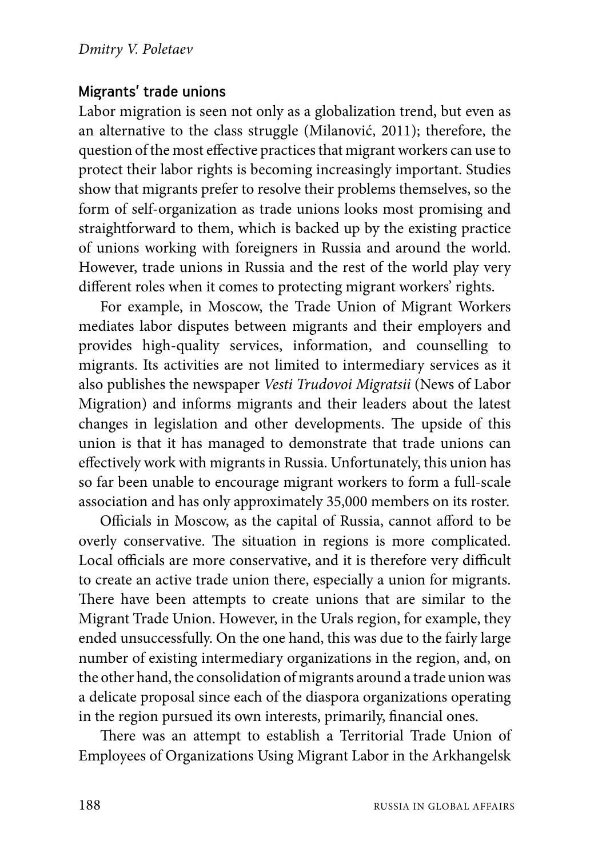## Migrants' trade unions

Labor migration is seen not only as a globalization trend, but even as an alternative to the class struggle (Milanović, 2011); therefore, the question of the most effective practices that migrant workers can use to protect their labor rights is becoming increasingly important. Studies show that migrants prefer to resolve their problems themselves, so the form of self-organization as trade unions looks most promising and straightforward to them, which is backed up by the existing practice of unions working with foreigners in Russia and around the world. However, trade unions in Russia and the rest of the world play very different roles when it comes to protecting migrant workers' rights.

For example, in Moscow, the Trade Union of Migrant Workers mediates labor disputes between migrants and their employers and provides high-quality services, information, and counselling to migrants. Its activities are not limited to intermediary services as it also publishes the newspaper *Vesti Trudovoi Migratsii* (News of Labor Migration) and informs migrants and their leaders about the latest changes in legislation and other developments. The upside of this union is that it has managed to demonstrate that trade unions can effectively work with migrants in Russia. Unfortunately, this union has so far been unable to encourage migrant workers to form a full-scale association and has only approximately 35,000 members on its roster.

Officials in Moscow, as the capital of Russia, cannot afford to be overly conservative. The situation in regions is more complicated. Local officials are more conservative, and it is therefore very difficult to create an active trade union there, especially a union for migrants. There have been attempts to create unions that are similar to the Migrant Trade Union. However, in the Urals region, for example, they ended unsuccessfully. On the one hand, this was due to the fairly large number of existing intermediary organizations in the region, and, on the other hand, the consolidation of migrants around a trade union was a delicate proposal since each of the diaspora organizations operating in the region pursued its own interests, primarily, financial ones.

There was an attempt to establish a Territorial Trade Union of Employees of Organizations Using Migrant Labor in the Arkhangelsk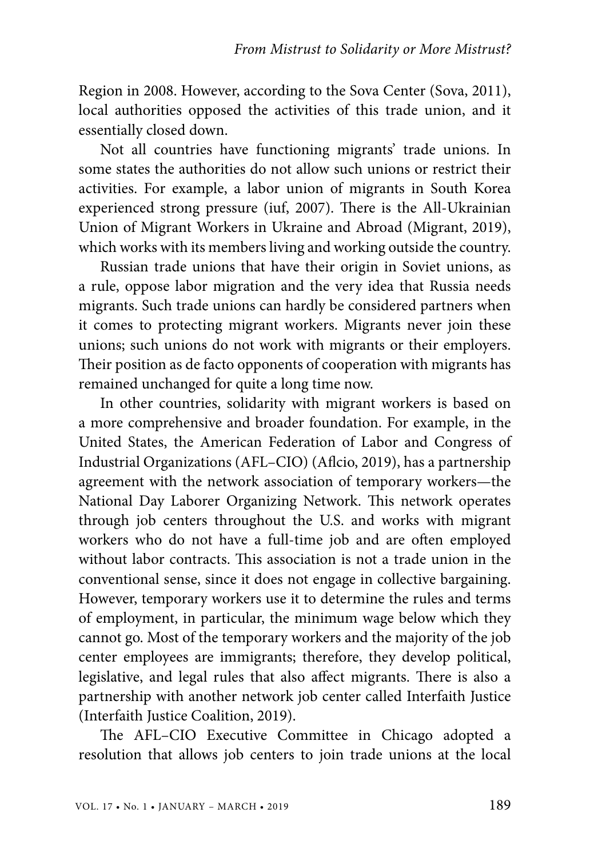Region in 2008. However, according to the Sova Center (Sova, 2011), local authorities opposed the activities of this trade union, and it essentially closed down.

Not all countries have functioning migrants' trade unions. In some states the authorities do not allow such unions or restrict their activities. For example, a labor union of migrants in South Korea experienced strong pressure (iuf, 2007). There is the All-Ukrainian Union of Migrant Workers in Ukraine and Abroad (Migrant, 2019), which works with its members living and working outside the country.

Russian trade unions that have their origin in Soviet unions, as a rule, oppose labor migration and the very idea that Russia needs migrants. Such trade unions can hardly be considered partners when it comes to protecting migrant workers. Migrants never join these unions; such unions do not work with migrants or their employers. Their position as de facto opponents of cooperation with migrants has remained unchanged for quite a long time now.

In other countries, solidarity with migrant workers is based on a more comprehensive and broader foundation. For example, in the United States, the American Federation of Labor and Congress of Industrial Organizations (AFL–CIO) (Aflcio, 2019), has a partnership agreement with the network association of temporary workers—the National Day Laborer Organizing Network. This network operates through job centers throughout the U.S. and works with migrant workers who do not have a full-time job and are often employed without labor contracts. This association is not a trade union in the conventional sense, since it does not engage in collective bargaining. However, temporary workers use it to determine the rules and terms of employment, in particular, the minimum wage below which they cannot go. Most of the temporary workers and the majority of the job center employees are immigrants; therefore, they develop political, legislative, and legal rules that also affect migrants. There is also a partnership with another network job center called Interfaith Justice (Interfaith Justice Coalition, 2019).

The AFL–CIO Executive Committee in Chicago adopted a resolution that allows job centers to join trade unions at the local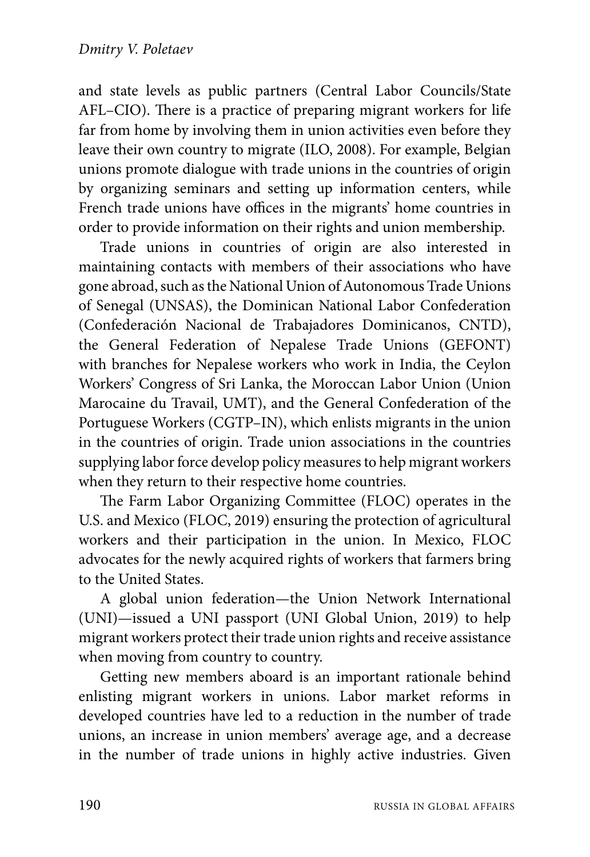and state levels as public partners (Central Labor Councils/State AFL–CIO). There is a practice of preparing migrant workers for life far from home by involving them in union activities even before they leave their own country to migrate (ILO, 2008). For example, Belgian unions promote dialogue with trade unions in the countries of origin by organizing seminars and setting up information centers, while French trade unions have offices in the migrants' home countries in order to provide information on their rights and union membership.

Trade unions in countries of origin are also interested in maintaining contacts with members of their associations who have gone abroad, such as the National Union of Autonomous Trade Unions of Senegal (UNSAS), the Dominican National Labor Confederation (Confederación Nacional de Trabajadores Dominicanos, CNTD), the General Federation of Nepalese Trade Unions (GEFONT) with branches for Nepalese workers who work in India, the Ceylon Workers' Congress of Sri Lanka, the Moroccan Labor Union (Union Marocaine du Travail, UMT), and the General Confederation of the Portuguese Workers (CGTP–IN), which enlists migrants in the union in the countries of origin. Trade union associations in the countries supplying labor force develop policy measures to help migrant workers when they return to their respective home countries.

The Farm Labor Organizing Committee (FLOC) operates in the U.S. and Mexico (FLOC, 2019) ensuring the protection of agricultural workers and their participation in the union. In Mexico, FLOC advocates for the newly acquired rights of workers that farmers bring to the United States.

A global union federation—the Union Network International (UNI)—issued a UNI passport (UNI Global Union, 2019) to help migrant workers protect their trade union rights and receive assistance when moving from country to country.

Getting new members aboard is an important rationale behind enlisting migrant workers in unions. Labor market reforms in developed countries have led to a reduction in the number of trade unions, an increase in union members' average age, and a decrease in the number of trade unions in highly active industries. Given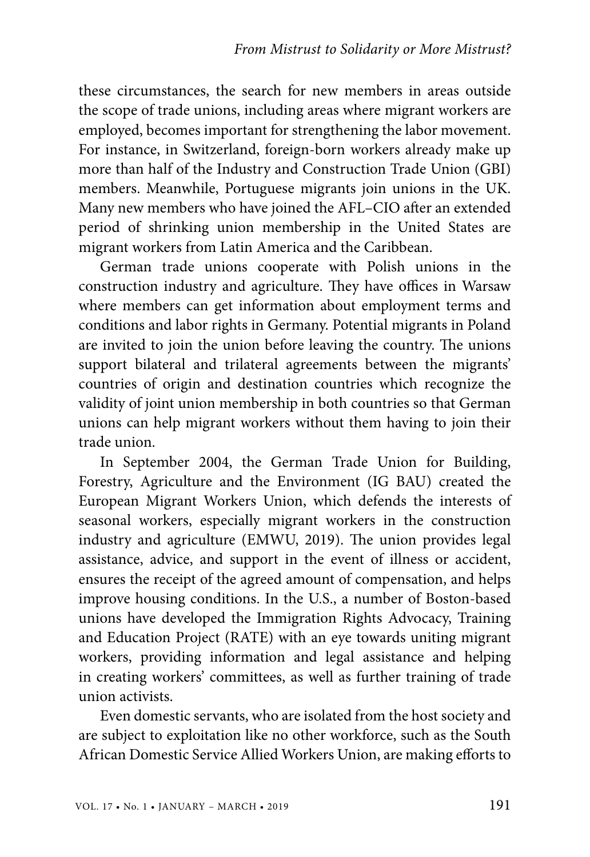these circumstances, the search for new members in areas outside the scope of trade unions, including areas where migrant workers are employed, becomes important for strengthening the labor movement. For instance, in Switzerland, foreign-born workers already make up more than half of the Industry and Construction Trade Union (GBI) members. Meanwhile, Portuguese migrants join unions in the UK. Many new members who have joined the AFL–CIO after an extended period of shrinking union membership in the United States are migrant workers from Latin America and the Caribbean.

German trade unions cooperate with Polish unions in the construction industry and agriculture. They have offices in Warsaw where members can get information about employment terms and conditions and labor rights in Germany. Potential migrants in Poland are invited to join the union before leaving the country. The unions support bilateral and trilateral agreements between the migrants' countries of origin and destination countries which recognize the validity of joint union membership in both countries so that German unions can help migrant workers without them having to join their trade union.

In September 2004, the German Trade Union for Building, Forestry, Agriculture and the Environment (IG BAU) created the European Migrant Workers Union, which defends the interests of seasonal workers, especially migrant workers in the construction industry and agriculture (EMWU, 2019). The union provides legal assistance, advice, and support in the event of illness or accident, ensures the receipt of the agreed amount of compensation, and helps improve housing conditions. In the U.S., a number of Boston-based unions have developed the Immigration Rights Advocacy, Training and Education Project (RATE) with an eye towards uniting migrant workers, providing information and legal assistance and helping in creating workers' committees, as well as further training of trade union activists.

Even domestic servants, who are isolated from the host society and are subject to exploitation like no other workforce, such as the South African Domestic Service Allied Workers Union, are making efforts to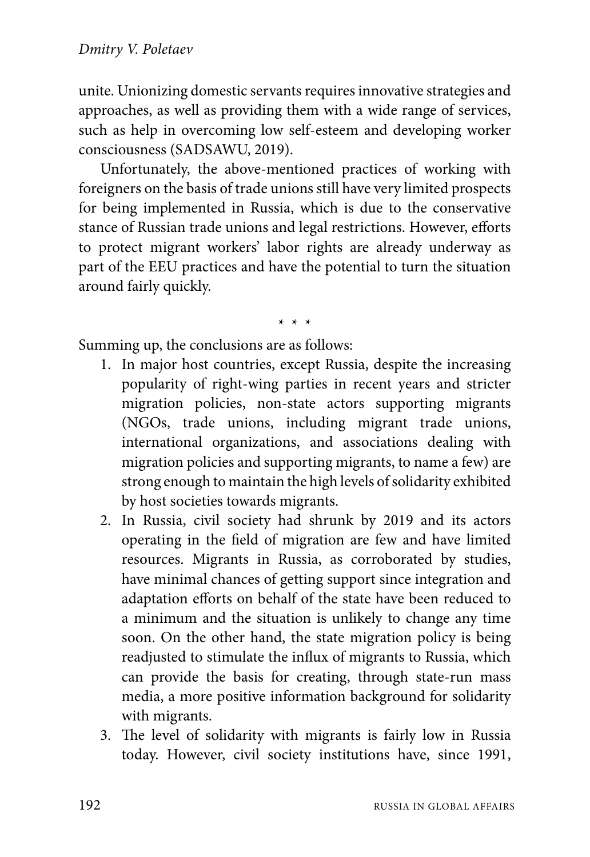unite. Unionizing domestic servants requires innovative strategies and approaches, as well as providing them with a wide range of services, such as help in overcoming low self-esteem and developing worker consciousness (SADSAWU, 2019).

Unfortunately, the above-mentioned practices of working with foreigners on the basis of trade unions still have very limited prospects for being implemented in Russia, which is due to the conservative stance of Russian trade unions and legal restrictions. However, efforts to protect migrant workers' labor rights are already underway as part of the EEU practices and have the potential to turn the situation around fairly quickly.

\* \* \*

Summing up, the conclusions are as follows:

- 1. In major host countries, except Russia, despite the increasing popularity of right-wing parties in recent years and stricter migration policies, non-state actors supporting migrants (NGOs, trade unions, including migrant trade unions, international organizations, and associations dealing with migration policies and supporting migrants, to name a few) are strong enough to maintain the high levels of solidarity exhibited by host societies towards migrants.
- 2. In Russia, civil society had shrunk by 2019 and its actors operating in the field of migration are few and have limited resources. Migrants in Russia, as corroborated by studies, have minimal chances of getting support since integration and adaptation efforts on behalf of the state have been reduced to a minimum and the situation is unlikely to change any time soon. On the other hand, the state migration policy is being readjusted to stimulate the influx of migrants to Russia, which can provide the basis for creating, through state-run mass media, a more positive information background for solidarity with migrants.
- 3. The level of solidarity with migrants is fairly low in Russia today. However, civil society institutions have, since 1991,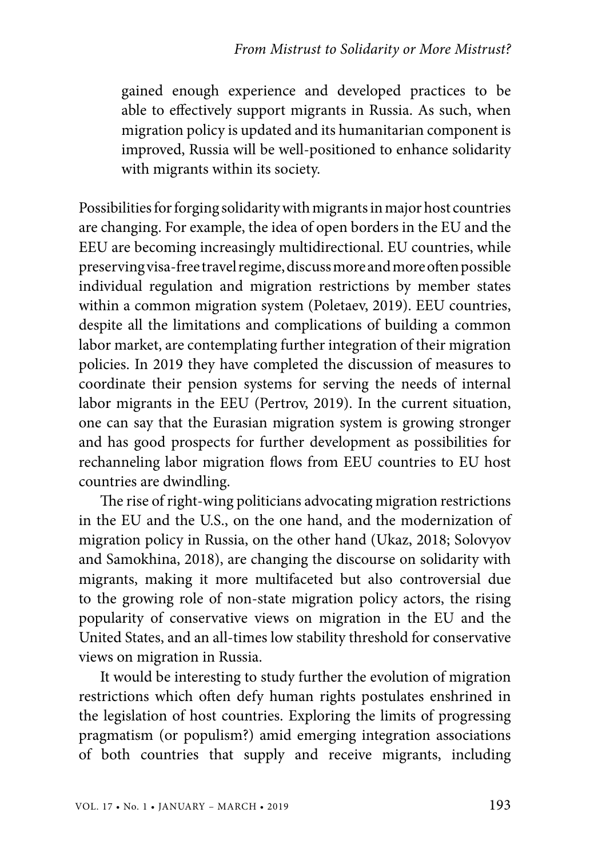gained enough experience and developed practices to be able to effectively support migrants in Russia. As such, when migration policy is updated and its humanitarian component is improved, Russia will be well-positioned to enhance solidarity with migrants within its society.

Possibilities for forging solidarity with migrants in major host countries are changing. For example, the idea of open borders in the EU and the EEU are becoming increasingly multidirectional. EU countries, while preserving visa-free travel regime, discuss more and more often possible individual regulation and migration restrictions by member states within a common migration system (Poletaev, 2019). EEU countries, despite all the limitations and complications of building a common labor market, are contemplating further integration of their migration policies. In 2019 they have completed the discussion of measures to coordinate their pension systems for serving the needs of internal labor migrants in the EEU (Pertrov, 2019). In the current situation, one can say that the Eurasian migration system is growing stronger and has good prospects for further development as possibilities for rechanneling labor migration flows from EEU countries to EU host countries are dwindling.

The rise of right-wing politicians advocating migration restrictions in the EU and the U.S., on the one hand, and the modernization of migration policy in Russia, on the other hand (Ukaz, 2018; Solovyov and Samokhina, 2018), are changing the discourse on solidarity with migrants, making it more multifaceted but also controversial due to the growing role of non-state migration policy actors, the rising popularity of conservative views on migration in the EU and the United States, and an all-times low stability threshold for conservative views on migration in Russia.

It would be interesting to study further the evolution of migration restrictions which often defy human rights postulates enshrined in the legislation of host countries. Exploring the limits of progressing pragmatism (or populism?) amid emerging integration associations of both countries that supply and receive migrants, including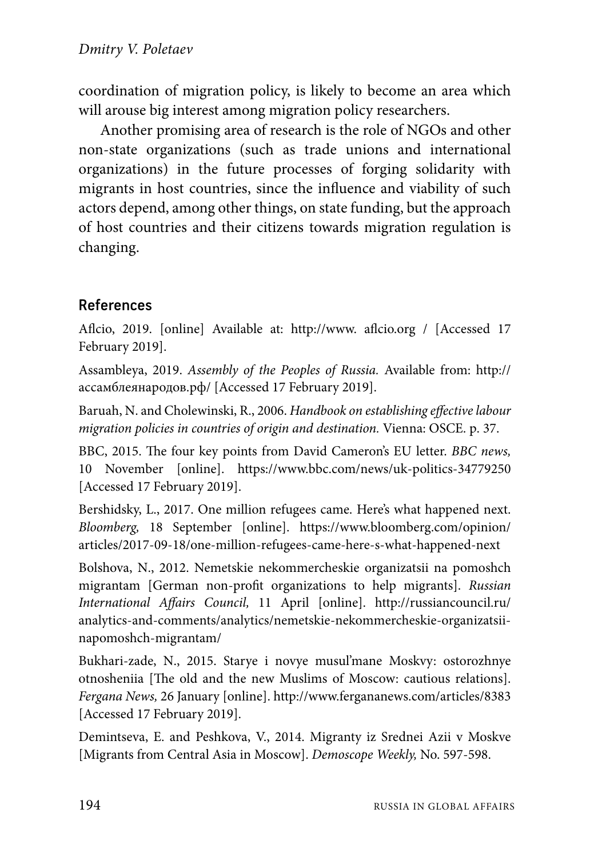coordination of migration policy, is likely to become an area which will arouse big interest among migration policy researchers.

Another promising area of research is the role of NGOs and other non-state organizations (such as trade unions and international organizations) in the future processes of forging solidarity with migrants in host countries, since the influence and viability of such actors depend, among other things, on state funding, but the approach of host countries and their citizens towards migration regulation is changing.

# References

Aflcio, 2019. [online] Available at: http://www. aflcio.org / [Accessed 17 February 2019].

Assambleya, 2019. *Assembly of the Peoples of Russia.* Available from: http:// ассамблеянародов.рф/ [Accessed 17 February 2019].

Baruah, N. and Cholewinski, R., 2006. *Handbook on establishing effective labour migration policies in countries of origin and destination.* Vienna: OSCE. р. 37.

BBC, 2015. The four key points from David Cameron's EU letter. *BBC news,* 10 November [online]. https://www.bbc.com/news/uk-politics-34779250 [Accessed 17 February 2019].

Bershidsky, L., 2017. One million refugees came. Here's what happened next. *Bloomberg,* 18 September [online]. https://www.bloomberg.com/opinion/ articles/2017-09-18/one-million-refugees-came-here-s-what-happened-next

Bolshova, N., 2012. Nemetskie nekommercheskie organizatsii na pomoshch migrantam [German non-profit organizations to help migrants]. *Russian International Affairs Council,* 11 April [online]. http://russiancouncil.ru/ analytics-and-comments/analytics/nemetskie-nekommercheskie-organizatsiinapomoshch-migrantam/

Bukhari-zade, N., 2015. Starye i novye musul'mane Moskvy: ostorozhnye otnosheniia [The old and the new Muslims of Moscow: cautious relations]. *Fergana News,* 26 January [online]. http://www.fergananews.com/articles/8383 [Accessed 17 February 2019].

Demintseva, E. and Peshkova, V., 2014. Migranty iz Srednei Azii v Moskve [Migrants from Central Asia in Moscow]. *Demoscope Weekly,* No. 597-598.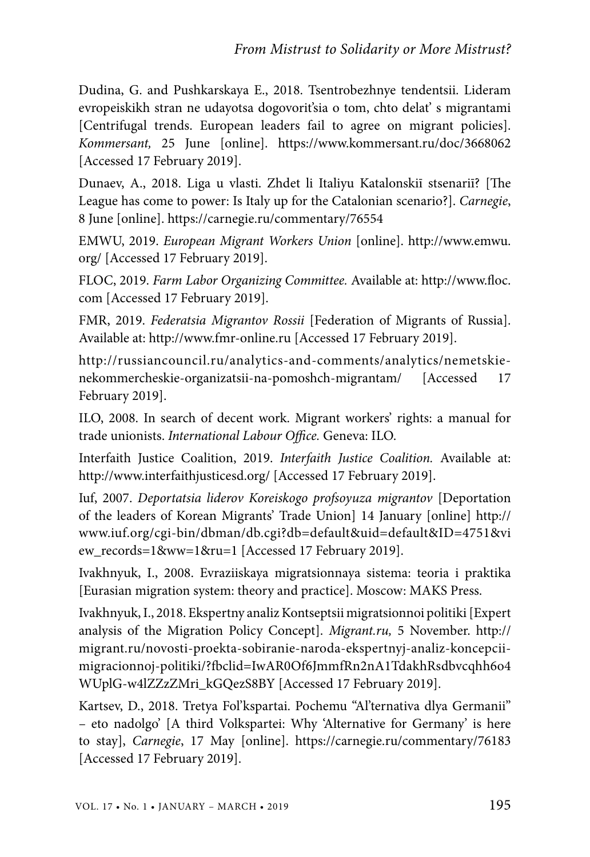Dudina, G. and Pushkarskaya E., 2018. Tsentrobezhnye tendentsii. Lideram evropeiskikh stran ne udayotsa dogovorit'sia o tom, chto delat' s migrantami [Centrifugal trends. European leaders fail to agree on migrant policies]. *Kommersant,* 25 June [online]. https://www.kommersant.ru/doc/3668062 [Accessed 17 February 2019].

Dunaev, A., 2018. Liga u vlasti. Zhdet li Italiyu Katalonskiī stsenariī? [The League has come to power: Is Italy up for the Catalonian scenario?]. *Carnegie*, 8 June [online]. https://carnegie.ru/commentary/76554

EMWU, 2019. *European Migrant Workers Union* [online]. http://www.emwu. org/ [Accessed 17 February 2019].

FLOC, 2019. *Farm Labor Organizing Committee.* Available at: http://www.floc. com [Accessed 17 February 2019].

FMR, 2019. *Federatsia Migrantov Rossii* [Federation of Migrants of Russia]. Available at: http://www.fmr-online.ru [Accessed 17 February 2019].

http://russiancouncil.ru/analytics-and-comments/analytics/nemetskienekommercheskie-organizatsii-na-pomoshch-migrantam/ [Accessed 17 February 2019].

ILO, 2008. In search of decent work. Migrant workers' rights: a manual for trade unionists. *International Labour Office.* Geneva: ILO.

Interfaith Justice Coalition, 2019. *Interfaith Justice Coalition.* Available at: http://www.interfaithjusticesd.org/ [Accessed 17 February 2019].

Iuf, 2007. *Deportatsia liderov Koreiskogo profsoyuza migrantov* [Deportation of the leaders of Korean Migrants' Trade Union] 14 January [online] http:// www.iuf.org/cgi-bin/dbman/db.cgi?db=default&uid=default&ID=4751&vi ew\_records=1&ww=1&ru=1 [Accessed 17 February 2019].

Ivakhnyuk, I., 2008. Evraziiskaya migratsionnaya sistema: teoria i praktika [Eurasian migration system: theory and practice]. Moscow: MAKS Press.

Ivakhnyuk, I., 2018. Ekspertny analiz Kontseptsii migratsionnoi politiki [Expert analysis of the Migration Policy Concept]. *Migrant.ru,* 5 November. http:// migrant.ru/novosti-proekta-sobiranie-naroda-ekspertnyj-analiz-koncepciimigracionnoj-politiki/?fbclid=IwAR0Of6JmmfRn2nA1TdakhRsdbvcqhh6o4 WUplG-w4lZZzZMri\_kGQezS8BY [Accessed 17 February 2019].

Kartsev, D., 2018. Tretya Fol'kspartai. Pochemu "Al'ternativa dlya Germanii" – eto nadolgo' [A third Volkspartei: Why 'Alternative for Germany' is here to stay], *Carnegie*, 17 May [online]. https://carnegie.ru/commentary/76183 [Accessed 17 February 2019].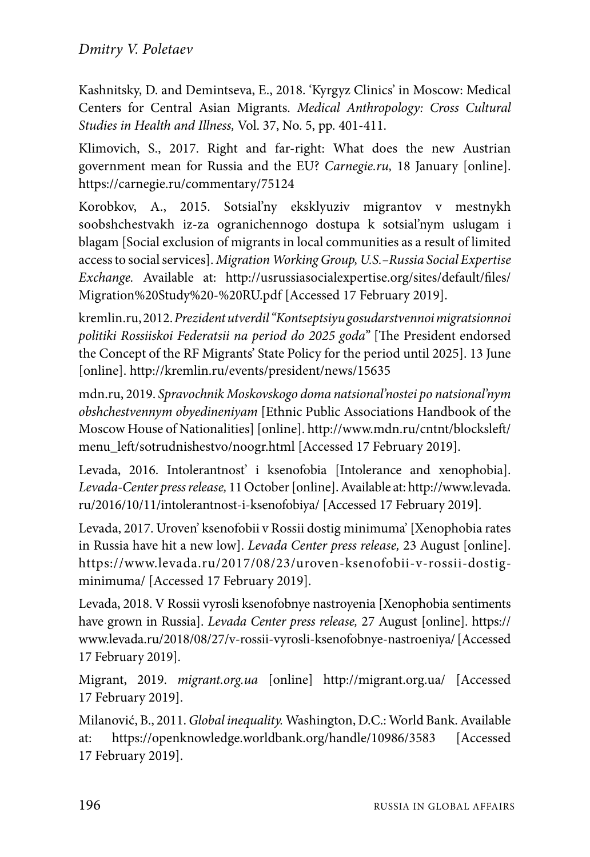Kashnitsky, D. and Demintseva, E., 2018. 'Kyrgyz Clinics' in Moscow: Medical Centers for Central Asian Migrants. *Medical Anthropology: Cross Cultural Studies in Health and Illness,* Vol. 37, No. 5, pp. 401-411.

Klimovich, S., 2017. Right and far-right: What does the new Austrian government mean for Russia and the EU? *Carnegie.ru,* 18 January [online]. https://carnegie.ru/commentary/75124

Korobkov, А., 2015. Sotsial'ny eksklyuziv migrantov v mestnykh soobshchestvakh iz-za ogranichennogo dostupa k sotsial'nym uslugam i blagam [Social exclusion of migrants in local communities as a result of limited access to social services]. *Migration Working Group, U.S.–Russia Social Expertise Exchange.* Available at: http://usrussiasocialexpertise.org/sites/default/files/ Migration%20Study%20-%20RU.pdf [Accessed 17 February 2019].

kremlin.ru, 2012. *Prezident utverdil "Kontseptsiyu gosudarstvennoi migratsionnoi politiki Rossiiskoi Federatsii na period do 2025 goda"* [The President endorsed the Concept of the RF Migrants' State Policy for the period until 2025]. 13 June [online]. http://kremlin.ru/events/president/news/15635

mdn.ru, 2019. *Spravochnik Moskovskogo doma natsional'nostei po natsional'nym obshchestvennym obyedineniyam* [Ethnic Public Associations Handbook of the Moscow House of Nationalities] [online]. http://www.mdn.ru/cntnt/blocksleft/ menu\_left/sotrudnishestvo/noogr.html [Accessed 17 February 2019].

Levada, 2016. Intolerantnost' i ksenofobia [Intolerance and xenophobia]. *Levada-Center press release,* 11 October [online]. Available at: http://www.levada. ru/2016/10/11/intolerantnost-i-ksenofobiya/ [Accessed 17 February 2019].

Levada, 2017. Uroven' ksenofobii v Rossii dostig minimuma' [Xenophobia rates in Russia have hit a new low]. *Levada Center press release,* 23 August [online]. https://www.levada.ru/2017/08/23/uroven-ksenofobii-v-rossii-dostigminimuma/ [Accessed 17 February 2019].

Levada, 2018. V Rossii vyrosli ksenofobnye nastroyenia [Xenophobia sentiments have grown in Russia]. *Levada Center press release,* 27 August [online]. https:// www.levada.ru/2018/08/27/v-rossii-vyrosli-ksenofobnye-nastroeniya/ [Accessed 17 February 2019].

Migrant, 2019. *migrant.org.ua* [online] http://migrant.org.ua/ [Accessed 17 February 2019].

Milanović, B., 2011. *Global inequality.* Washington, D.C.: World Bank. Available at: https://openknowledge.worldbank.org/handle/10986/3583 [Accessed 17 February 2019].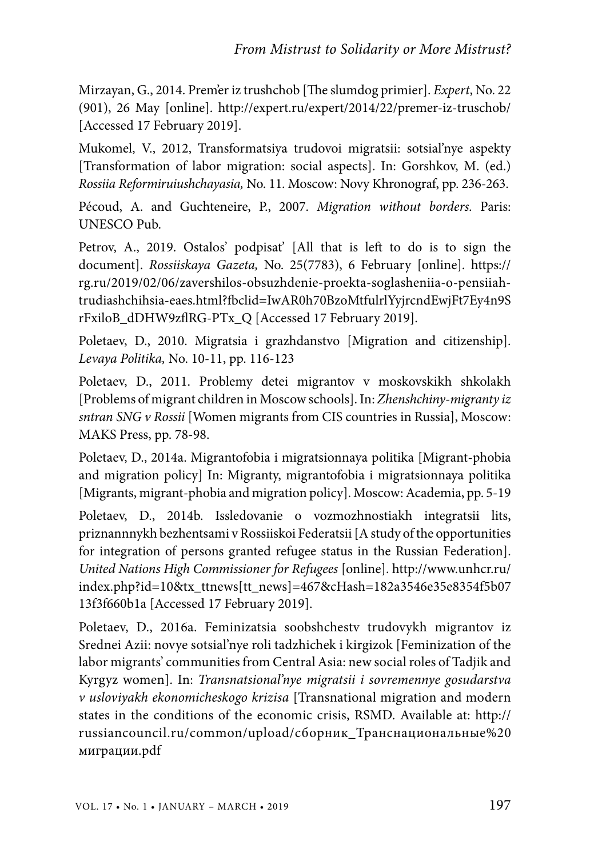Mirzayan, G., 2014. Prem'er iz trushchob [The slumdog primier]. *Expert*, No. 22 (901), 26 May [online]. http://expert.ru/expert/2014/22/premer-iz-truschob/ [Accessed 17 February 2019].

Mukomel, V., 2012, Transformatsiya trudovoi migratsii: sotsial'nye aspekty [Transformation of labor migration: social aspects]. In: Gorshkov, M. (ed.) *Rossiia Reformiruiushchayasia,* No. 11. Moscow: Novy Khronograf, pp. 236-263.

Pécoud, A. and Guchteneire, P., 2007. *Migration without borders.* Paris: UNESCO Pub.

Petrov, А., 2019. Ostalos' podpisat' [All that is left to do is to sign the document]. *Rossiiskaya Gazeta,* No. 25(7783), 6 February [online]. https:// rg.ru/2019/02/06/zavershilos-obsuzhdenie-proekta-soglasheniia-o-pensiiahtrudiashchihsia-eaes.html?fbclid=IwAR0h70BzoMtfulrlYyjrcndEwjFt7Ey4n9S rFxiloB\_dDHW9zflRG-PTx\_Q [Accessed 17 February 2019].

Poletaev, D., 2010. Migratsia i grazhdanstvo [Migration and citizenship]. *Levaya Politika,* No. 10-11, pp. 116-123

Poletaev, D., 2011. Problemy detei migrantov v moskovskikh shkolakh [Problems of migrant children in Moscow schools]. In: *Zhenshchiny-migranty iz sntran SNG v Rossii* [Women migrants from CIS countries in Russia], Moscow: MAKS Press, pp. 78-98.

Poletaev, D., 2014a. Migrantofobia i migratsionnaya politika [Migrant-phobia and migration policy] In: Migranty, migrantofobia i migratsionnaya politika [Migrants, migrant-phobia and migration policy]. Moscow: Academia, pp. 5-19

Poletaev, D., 2014b. Issledovanie o vozmozhnostiakh integratsii lits, priznannnykh bezhentsami v Rossiiskoi Federatsii [A study of the opportunities for integration of persons granted refugee status in the Russian Federation]. *United Nations High Commissioner for Refugees* [online]. http://www.unhcr.ru/ index.php?id=10&tx\_ttnews[tt\_news]=467&cHash=182a3546e35e8354f5b07 13f3f660b1a [Accessed 17 February 2019].

Poletaev, D., 2016a. Feminizatsia soobshchestv trudovykh migrantov iz Srednei Azii: novye sotsial'nye roli tadzhichek i kirgizok [Feminization of the labor migrants' communities from Central Asia: new social roles of Tadjik and Kyrgyz women]. In: *Transnatsional'nye migratsii i sovremennye gosudarstva v usloviyakh ekonomicheskogo krizisa* [Transnational migration and modern states in the conditions of the economic crisis, RSMD. Available at: http:// russiancouncil.ru/common/upload/сборник\_Транснациональные%20 миграции.pdf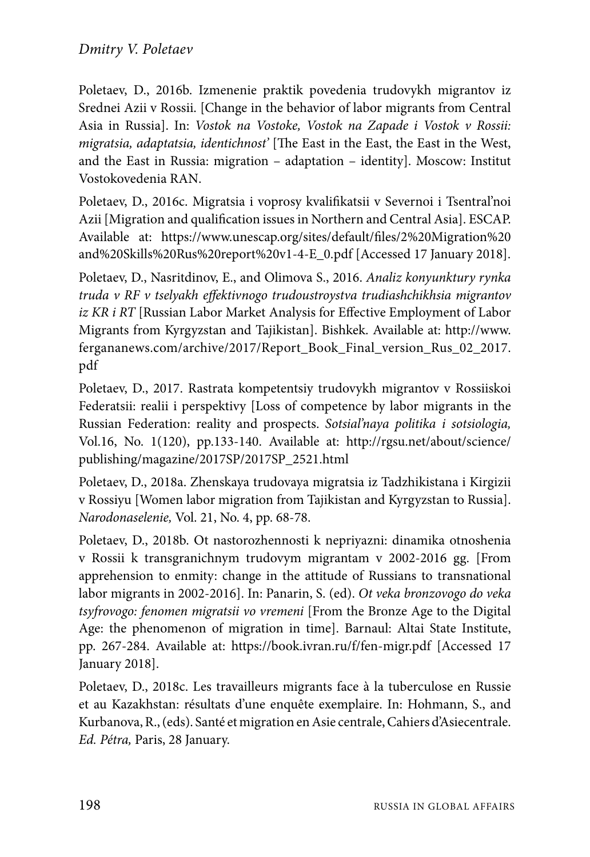Poletaev, D., 2016b. Izmenenie praktik povedenia trudovykh migrantov iz Srednei Azii v Rossii. [Change in the behavior of labor migrants from Central Asia in Russia]. In: *Vostok na Vostoke, Vostok na Zapade i Vostok v Rossii: migratsia, adaptatsia, identichnost'* [The East in the East, the East in the West, and the East in Russia: migration – adaptation – identity]. Moscow: Institut Vostokovedenia RAN.

Poletaev, D., 2016c. Migratsia i voprosy kvalifikatsii v Severnoi i Tsentral'noi Azii [Migration and qualification issues in Northern and Central Asia]. ESCAP. Available at: https://www.unescap.org/sites/default/files/2%20Migration%20 and%20Skills%20Rus%20report%20v1-4-E\_0.pdf [Accessed 17 January 2018].

Poletaev, D., Nasritdinov, E., and Olimova S., 2016. *Analiz konyunktury rynka truda v RF v tselyakh effektivnogo trudoustroystva trudiashchikhsia migrantov iz KR i RT* [Russian Labor Market Analysis for Effective Employment of Labor Migrants from Kyrgyzstan and Tajikistan]. Bishkek. Available at: http://www. fergananews.com/archive/2017/Report\_Book\_Final\_version\_Rus\_02\_2017. pdf

Poletaev, D., 2017. Rastrata kompetentsiy trudovykh migrantov v Rossiiskoi Federatsii: realii i perspektivy [Loss of competence by labor migrants in the Russian Federation: reality and prospects. *Sotsial'naya politika i sotsiologia,* Vol.16, No. 1(120), pp.133-140. Available at: http://rgsu.net/about/science/ publishing/magazine/2017SP/2017SP\_2521.html

Poletaev, D., 2018a. Zhenskaya trudovaya migratsia iz Tadzhikistana i Kirgizii v Rossiyu [Women labor migration from Tajikistan and Kyrgyzstan to Russia]. *Narodonaselenie,* Vol. 21, No. 4, pp. 68-78.

Poletaev, D., 2018b. Ot nastorozhennosti k nepriyazni: dinamika otnoshenia v Rossii k transgranichnym trudovym migrantam v 2002-2016 gg. [From apprehension to enmity: change in the attitude of Russians to transnational labor migrants in 2002-2016]. In: Panarin, S. (ed). *Ot veka bronzovogo do veka tsyfrovogo: fenomen migratsii vo vremeni* [From the Bronze Age to the Digital Age: the phenomenon of migration in time]. Barnaul: Altai State Institute, pp. 267-284. Available at: https://book.ivran.ru/f/fen-migr.pdf [Accessed 17 January 2018].

Poletaev, D., 2018c. Les travailleurs migrants face à la tuberculose en Russie et au Kazakhstan: résultats d'une enquête exemplaire. In: Hohmann, S., and Kurbanova, R., (eds). Santé et migration en Asie centrale, Cahiers d'Asiecentrale. *Ed. Pétra,* Paris, 28 January.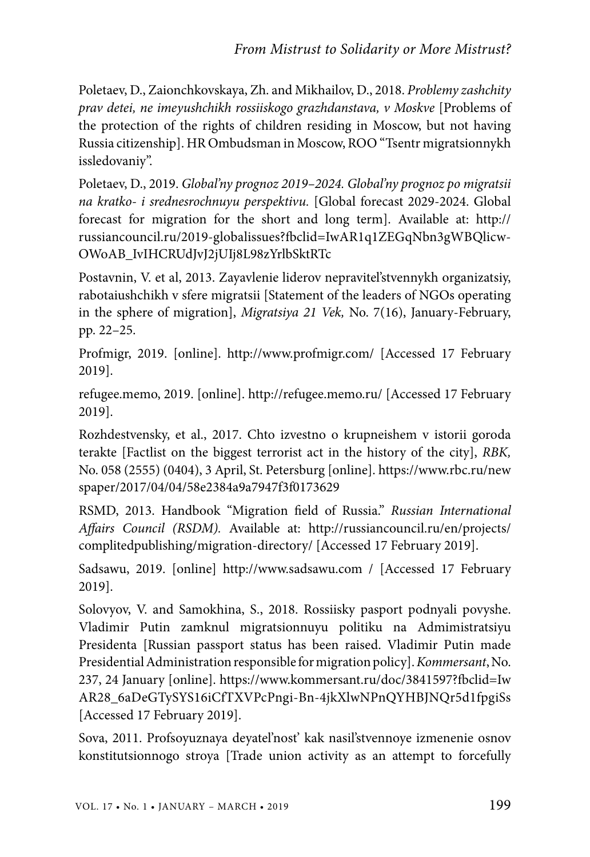Poletaev, D., Zaionchkovskaya, Zh. and Mikhailov, D., 2018. *Problemy zashchity prav detei, ne imeyushchikh rossiiskogo grazhdanstava, v Moskve* [Problems of the protection of the rights of children residing in Moscow, but not having Russia citizenship]. HR Ombudsman in Moscow, ROO "Tsentr migratsionnykh issledovaniy".

Poletaev, D., 2019. *Global'ny prognoz 2019–2024. Global'ny prognoz po migratsii na kratko- i srednesrochnuyu perspektivu.* [Global forecast 2029-2024. Global forecast for migration for the short and long term]. Available at: http:// russiancouncil.ru/2019-globalissues?fbclid=IwAR1q1ZEGqNbn3gWBQlicw-OWoAB\_IvIHCRUdJvJ2jUIj8L98zYrlbSktRTc

Postavnin, V. et al, 2013. Zayavlenie liderov nepravitel'stvennykh organizatsiy, rabotaiushchikh v sfere migratsii [Statement of the leaders of NGOs operating in the sphere of migration], *Migratsiya 21 Vek,* No. 7(16), January-February, pp. 22–25.

Profmigr, 2019. [online]. http://www.profmigr.com/ [Accessed 17 February 2019].

refugee.memo, 2019. [online]. http://refugee.memo.ru/ [Accessed 17 February 2019].

Rozhdestvensky, et al., 2017. Chto izvestno o krupneishem v istorii goroda terakte [Factlist on the biggest terrorist act in the history of the city], *RBK,* No. 058 (2555) (0404), 3 April, St. Petersburg [online]. https://www.rbc.ru/new spaper/2017/04/04/58e2384a9a7947f3f0173629

RSMD, 2013. Handbook "Migration field of Russia." *Russian International Affairs Council (RSDM).* Available at: http://russiancouncil.ru/en/projects/ complitedpublishing/migration-directory/ [Accessed 17 February 2019].

Sadsawu, 2019. [online] http://www.sadsawu.com / [Accessed 17 February 2019].

Solovyov, V. and Samokhina, S., 2018. Rossiisky pasport podnyali povyshe. Vladimir Putin zamknul migratsionnuyu politiku na Admimistratsiyu Presidenta [Russian passport status has been raised. Vladimir Putin made Presidential Administration responsible for migration policy]. *Kommersant*, No. 237, 24 January [online]. https://www.kommersant.ru/doc/3841597?fbclid=Iw AR28\_6aDeGTySYS16iCfTXVPcPngi-Bn-4jkXlwNPnQYHBJNQr5d1fpgiSs [Accessed 17 February 2019].

Sova, 2011. Profsoyuznaya deyatel'nost' kak nasil'stvennoye izmenenie osnov konstitutsionnogo stroya [Trade union activity as an attempt to forcefully